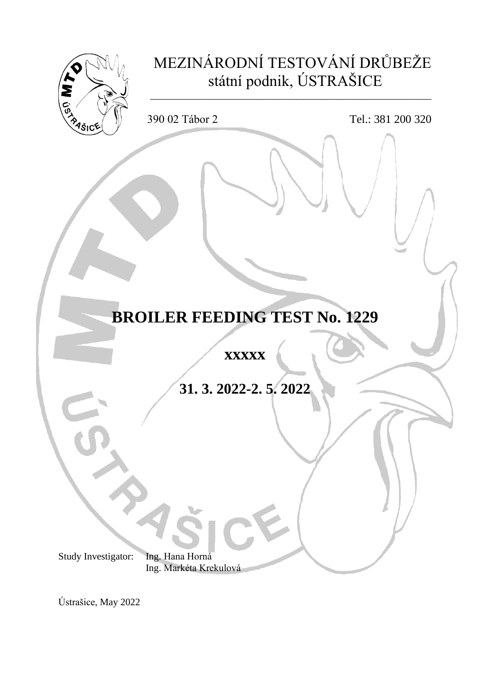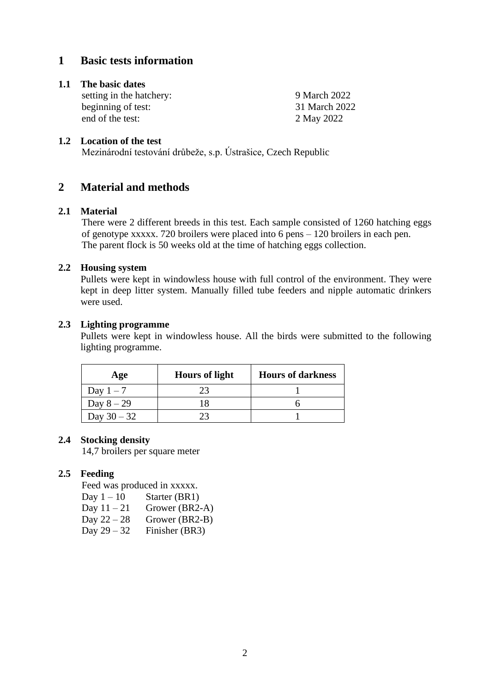# **1 Basic tests information**

### **1.1 The basic dates**

setting in the hatchery:<br>
9 March 2022<br>
9 March 2022<br>
31 March 2022 beginning of test: end of the test: 2 May 2022

## **1.2 Location of the test**

Mezinárodní testování drůbeže, s.p. Ústrašice, Czech Republic

# **2 Material and methods**

## **2.1 Material**

There were 2 different breeds in this test. Each sample consisted of 1260 hatching eggs of genotype xxxxx. 720 broilers were placed into 6 pens – 120 broilers in each pen. The parent flock is 50 weeks old at the time of hatching eggs collection.

## **2.2 Housing system**

Pullets were kept in windowless house with full control of the environment. They were kept in deep litter system. Manually filled tube feeders and nipple automatic drinkers were used.

## **2.3 Lighting programme**

Pullets were kept in windowless house. All the birds were submitted to the following lighting programme.

| Age           | <b>Hours of light</b> | <b>Hours of darkness</b> |
|---------------|-----------------------|--------------------------|
| Day $1-7$     |                       |                          |
| Day $8-29$    |                       |                          |
| Day $30 - 32$ |                       |                          |

## **2.4 Stocking density**

14,7 broilers per square meter

## **2.5 Feeding**

Feed was produced in xxxxx.

Day  $1 - 10$  Starter (BR1)

- Day  $11 21$  Grower (BR2-A)
- Day  $22 28$  Grower (BR2-B)
- Day  $29 32$  Finisher (BR3)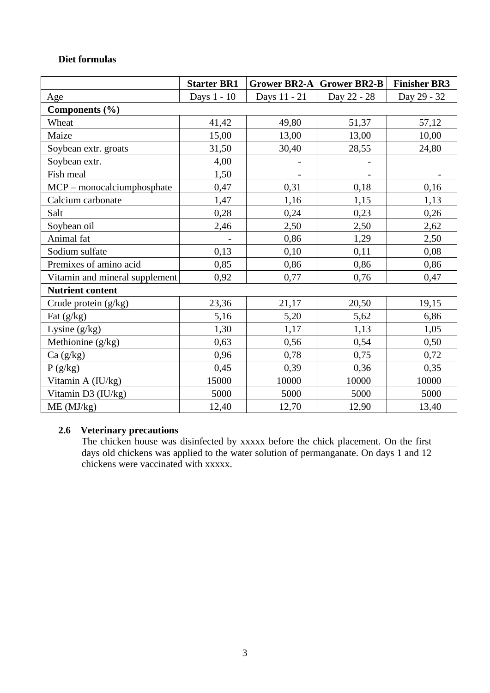## **Diet formulas**

|                                | <b>Starter BR1</b> | <b>Grower BR2-A</b> | <b>Grower BR2-B</b> | <b>Finisher BR3</b> |
|--------------------------------|--------------------|---------------------|---------------------|---------------------|
| Age                            | Days 1 - 10        | Days 11 - 21        | Day 22 - 28         | Day 29 - 32         |
| Components (%)                 |                    |                     |                     |                     |
| Wheat                          | 41,42              | 49,80               | 51,37               | 57,12               |
| Maize                          | 15,00              | 13,00               | 13,00               | 10,00               |
| Soybean extr. groats           | 31,50              | 30,40               | 28,55               | 24,80               |
| Soybean extr.                  | 4,00               |                     |                     |                     |
| Fish meal                      | 1,50               |                     |                     |                     |
| MCP - monocalciumphosphate     | 0,47               | 0,31                | 0,18                | 0,16                |
| Calcium carbonate              | 1,47               | 1,16                | 1,15                | 1,13                |
| Salt                           | 0,28               | 0,24                | 0,23                | 0,26                |
| Soybean oil                    | 2,46               | 2,50                | 2,50                | 2,62                |
| Animal fat                     |                    | 0,86                | 1,29                | 2,50                |
| Sodium sulfate                 | 0,13               | 0,10                | 0,11                | 0,08                |
| Premixes of amino acid         | 0,85               | 0,86                | 0,86                | 0,86                |
| Vitamin and mineral supplement | 0,92               | 0,77                | 0,76                | 0,47                |
| <b>Nutrient content</b>        |                    |                     |                     |                     |
| Crude protein (g/kg)           | 23,36              | 21,17               | 20,50               | 19,15               |
| Fat $(g/kg)$                   | 5,16               | 5,20                | 5,62                | 6,86                |
| Lysine $(g/kg)$                | 1,30               | 1,17                | 1,13                | 1,05                |
| Methionine (g/kg)              | 0,63               | 0,56                | 0,54                | 0,50                |
| Ca(g/kg)                       | 0,96               | 0,78                | 0,75                | 0,72                |
| P(g/kg)                        | 0,45               | 0,39                | 0,36                | 0,35                |
| Vitamin A (IU/kg)              | 15000              | 10000               | 10000               | 10000               |
| Vitamin D3 (IU/kg)             | 5000               | 5000                | 5000                | 5000                |
| ME (MJ/kg)                     | 12,40              | 12,70               | 12,90               | 13,40               |

## **2.6 Veterinary precautions**

The chicken house was disinfected by xxxxx before the chick placement. On the first days old chickens was applied to the water solution of permanganate. On days 1 and 12 chickens were vaccinated with xxxxx.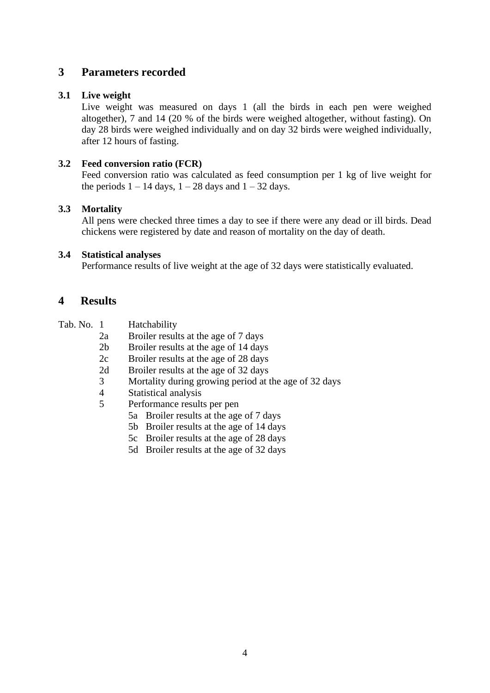# **3 Parameters recorded**

## **3.1 Live weight**

Live weight was measured on days 1 (all the birds in each pen were weighed altogether), 7 and 14 (20 % of the birds were weighed altogether, without fasting). On day 28 birds were weighed individually and on day 32 birds were weighed individually, after 12 hours of fasting.

### **3.2 Feed conversion ratio (FCR)**

Feed conversion ratio was calculated as feed consumption per 1 kg of live weight for the periods  $1 - 14$  days,  $1 - 28$  days and  $1 - 32$  days.

### **3.3 Mortality**

All pens were checked three times a day to see if there were any dead or ill birds. Dead chickens were registered by date and reason of mortality on the day of death.

### **3.4 Statistical analyses**

Performance results of live weight at the age of 32 days were statistically evaluated.

## **4 Results**

Tab. No. 1 Hatchability

- 2a Broiler results at the age of 7 days
- 2b Broiler results at the age of 14 days
- 2c Broiler results at the age of 28 days
- 2d Broiler results at the age of 32 days
- 3 Mortality during growing period at the age of 32 days
- 4 Statistical analysis
- 5 Performance results per pen
	- 5a Broiler results at the age of 7 days
	- 5b Broiler results at the age of 14 days
	- 5c Broiler results at the age of 28 days
	- 5d Broiler results at the age of 32 days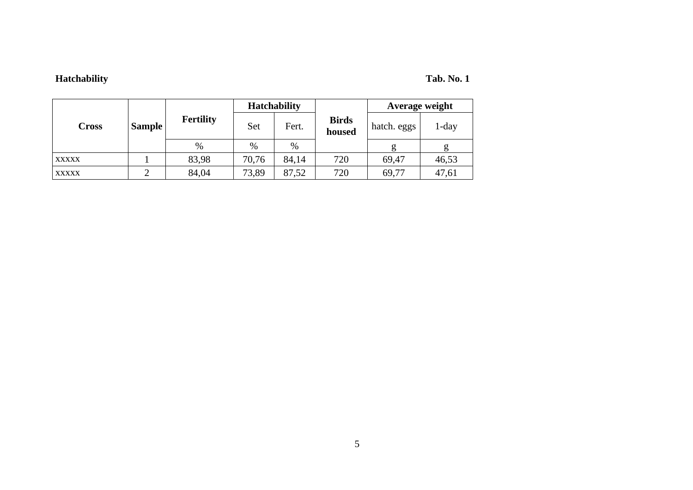# **Hatchability Tab. No. 1**

| <b>Cross</b> |               |                  |       | <b>Hatchability</b> |                        | Average weight |          |  |  |
|--------------|---------------|------------------|-------|---------------------|------------------------|----------------|----------|--|--|
|              | <b>Sample</b> | <b>Fertility</b> | Set   | Fert.               | <b>Birds</b><br>housed | hatch. eggs    | $1$ -day |  |  |
|              |               | %                | $\%$  | %                   |                        |                |          |  |  |
| <b>XXXXX</b> |               | 83,98            | 70,76 | 84,14               | 720                    | 69,47          | 46,53    |  |  |
| <b>XXXXX</b> |               | 84,04<br>73,89   |       | 87,52               | 720                    | 69,77          | 47,61    |  |  |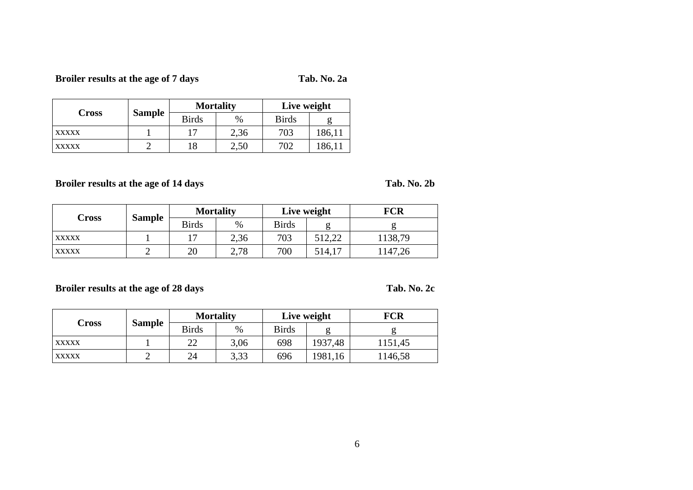# **Broiler results at the age of 7 days Tab. No. 2a**

| <b>Cross</b> |               | <b>Mortality</b> |      | Live weight  |        |  |
|--------------|---------------|------------------|------|--------------|--------|--|
|              | <b>Sample</b> | <b>Birds</b>     | %    | <b>Birds</b> |        |  |
| <b>XXXXX</b> |               |                  | 2,36 | 703          | 186,11 |  |
| <b>XXXXX</b> |               |                  | 2,50 | 702          | 86,11  |  |

# **Broiler results at the age of 14 days Tab. No. 2b**

| <b>Cross</b> |               | <b>Mortality</b> |      |              | Live weight | FCR     |  |  |
|--------------|---------------|------------------|------|--------------|-------------|---------|--|--|
|              | <b>Sample</b> | <b>Birds</b>     | %    | <b>Birds</b> |             |         |  |  |
| <b>XXXXX</b> |               |                  | 2,36 | 703          | 512,22      | 1138,79 |  |  |
| <b>XXXXX</b> |               | 20               | 2,78 | 700          | 514,17      | 1147,26 |  |  |

# **Broiler results at the age of 28 days Tab. No. 2c**

|              |               | <b>Mortality</b> |      |              | Live weight | FCR     |
|--------------|---------------|------------------|------|--------------|-------------|---------|
| Cross        | <b>Sample</b> | <b>Birds</b>     | %    | <b>Birds</b> |             |         |
| <b>XXXXX</b> |               | າາ<br>∠∠         | 3,06 | 698          | 1937,48     | 1151,45 |
| <b>XXXXX</b> | -             | 24               | 3,33 | 696          | 1981,16     | 1146,58 |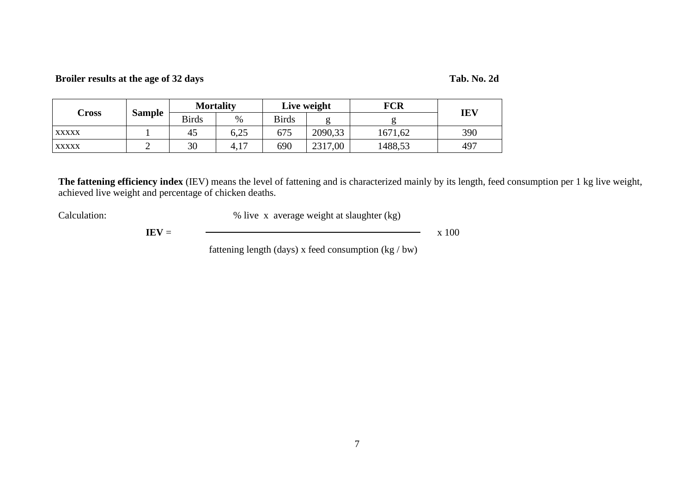**Broiler results at the age of 32 days Tab. No. 2d**

| Cross        | <b>Sample</b> |              | <b>Mortality</b> |              | Live weight | <b>FCR</b> | <b>IEV</b> |
|--------------|---------------|--------------|------------------|--------------|-------------|------------|------------|
|              |               | <b>Birds</b> | $\%$             | <b>Birds</b> |             |            |            |
| <b>XXXXX</b> |               | 45           | 6,25             | 675          | 2090,33     | 1671,62    | 390        |
| <b>XXXXX</b> |               | 30           | יי<br>4,1        | 690          | 2317,00     | 1488,53    | 497        |

**The fattening efficiency index** (IEV) means the level of fattening and is characterized mainly by its length, feed consumption per 1 kg live weight, achieved live weight and percentage of chicken deaths.

Calculation:  $\%$  live x average weight at slaughter (kg)

**IEV** =  $x 100$ 

fattening length (days) x feed consumption (kg / bw)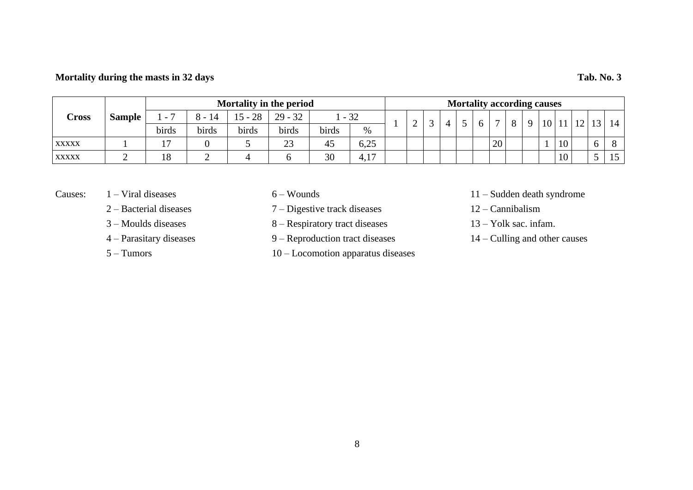## **Mortality during the masts in 32 days Tab. No. 3**

| Cross        |        | Mortality in the period  |       |       |                         |       | <b>Mortality according causes</b> |  |   |        |  |  |  |                |   |   |    |    |             |              |    |
|--------------|--------|--------------------------|-------|-------|-------------------------|-------|-----------------------------------|--|---|--------|--|--|--|----------------|---|---|----|----|-------------|--------------|----|
|              | Sample | $\overline{\phantom{0}}$ | ∧ –   | 28    | $29 - 32$               |       | $-32$                             |  |   | $\sim$ |  |  |  | $\overline{ }$ | 8 | 9 | 10 |    | $\sqrt{12}$ |              |    |
|              |        | birds                    | birds | birds | birds                   | birds | %                                 |  | ∼ |        |  |  |  |                |   |   |    | 11 |             | 13           | 14 |
| <b>XXXXX</b> |        |                          |       |       | $\bigcap$<br>$\angle 3$ | 45    | 6,25                              |  |   |        |  |  |  | 20             |   |   |    | 10 |             | <sub>0</sub> |    |
| <b>XXXXX</b> |        | 18                       |       |       |                         | 30    | 4,17                              |  |   |        |  |  |  |                |   |   |    | 10 |             |              | 12 |

- 
- 
- 

- 
- 2 Bacterial diseases 7 Digestive track diseases 12 Cannibalism
- 3 Moulds diseases 8 Respiratory tract diseases 13 Yolk sac. infam.
- 4 Parasitary diseases 9 Reproduction tract diseases 14 Culling and other causes
- 5 Tumors 10 Locomotion apparatus diseases
- Causes: 1 Viral diseases 6 Wounds 11 Sudden death syndrome
	-
	-
	-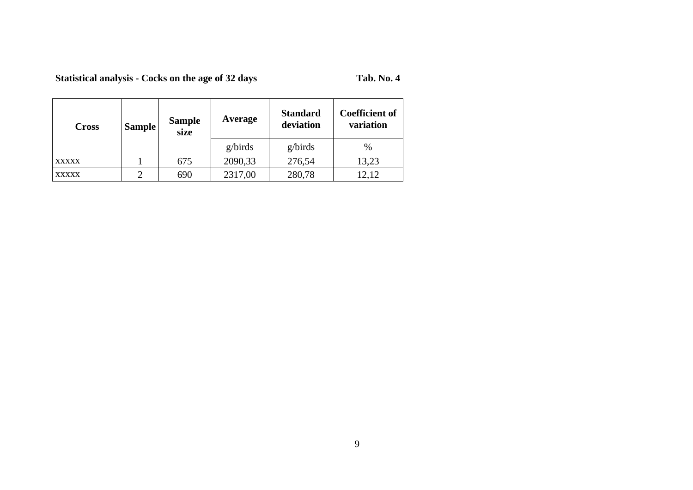**Statistical analysis - Cocks on the age of 32 days Tab. No. 4**

| <b>Cross</b> | Sample | <b>Sample</b><br>size | Average | <b>Standard</b><br>deviation | <b>Coefficient of</b><br>variation |  |
|--------------|--------|-----------------------|---------|------------------------------|------------------------------------|--|
|              |        |                       | g/birds | g/birds                      | $\%$                               |  |
| <b>XXXXX</b> |        | 675                   | 2090,33 | 276,54                       | 13,23                              |  |
| <b>XXXXX</b> | ◠      | 690                   | 2317,00 | 280,78                       | 12,12                              |  |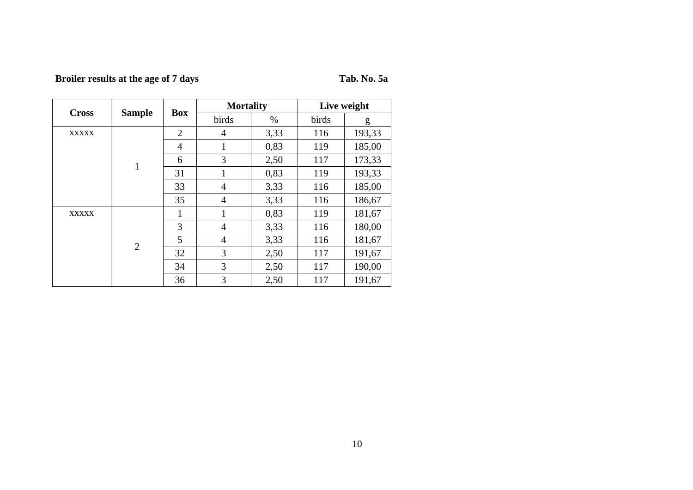# **Broiler results at the age of 7 days Tab. No. 5a**

|              |                |                | <b>Mortality</b> |      |       | Live weight |
|--------------|----------------|----------------|------------------|------|-------|-------------|
| <b>Cross</b> | <b>Sample</b>  | <b>Box</b>     | birds            | $\%$ | birds | g           |
| <b>XXXXX</b> |                | $\overline{2}$ | $\overline{4}$   | 3,33 | 116   | 193,33      |
|              |                | $\overline{4}$ | $\mathbf{1}$     | 0,83 | 119   | 185,00      |
|              | $\mathbf{1}$   | 6              | 3                | 2,50 | 117   | 173,33      |
|              |                | 31             | 1                | 0,83 | 119   | 193,33      |
|              |                | 33             | $\overline{4}$   | 3,33 | 116   | 185,00      |
|              |                | 35             | $\overline{4}$   | 3,33 | 116   | 186,67      |
| <b>XXXXX</b> |                | 1              | $\mathbf{1}$     | 0,83 | 119   | 181,67      |
|              |                | 3              | $\overline{4}$   | 3,33 | 116   | 180,00      |
|              | $\overline{2}$ | 5              | $\overline{4}$   | 3,33 | 116   | 181,67      |
|              |                | 32             | 3                | 2,50 | 117   | 191,67      |
|              |                | 34             | 3                | 2,50 | 117   | 190,00      |
|              |                | 36             | 3                | 2,50 | 117   | 191,67      |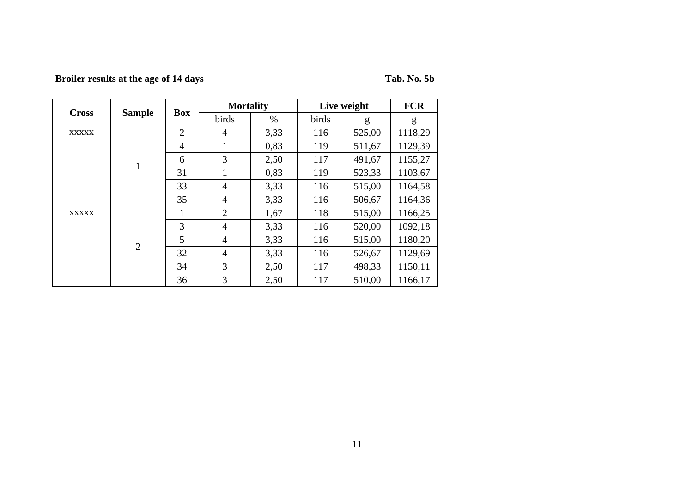# **Broiler results at the age of 14 days Tab. No. 5b**

|              |                |                | <b>Mortality</b> |      |       | Live weight | <b>FCR</b> |
|--------------|----------------|----------------|------------------|------|-------|-------------|------------|
| <b>Cross</b> | <b>Sample</b>  | <b>Box</b>     | birds            | $\%$ | birds | g           | g          |
| <b>XXXXX</b> |                | $\overline{2}$ | 4                | 3,33 | 116   | 525,00      | 1118,29    |
|              | $\mathbf{1}$   | 4              | 1                | 0,83 | 119   | 511,67      | 1129,39    |
|              |                | 6              | 3                | 2,50 | 117   | 491,67      | 1155,27    |
|              |                | 31             | 1                | 0,83 | 119   | 523,33      | 1103,67    |
|              |                | 33             | 4                | 3,33 | 116   | 515,00      | 1164,58    |
|              |                | 35             | 4                | 3,33 | 116   | 506,67      | 1164,36    |
| <b>XXXXX</b> |                | $\mathbf{1}$   | $\overline{2}$   | 1,67 | 118   | 515,00      | 1166,25    |
|              |                | 3              | 4                | 3,33 | 116   | 520,00      | 1092,18    |
|              | $\overline{2}$ | 5              | $\overline{4}$   | 3,33 | 116   | 515,00      | 1180,20    |
|              |                | 32             | 4                | 3,33 | 116   | 526,67      | 1129,69    |
|              |                | 34             | 3                | 2,50 | 117   | 498,33      | 1150,11    |
|              |                | 36             | 3                | 2,50 | 117   | 510,00      | 1166,17    |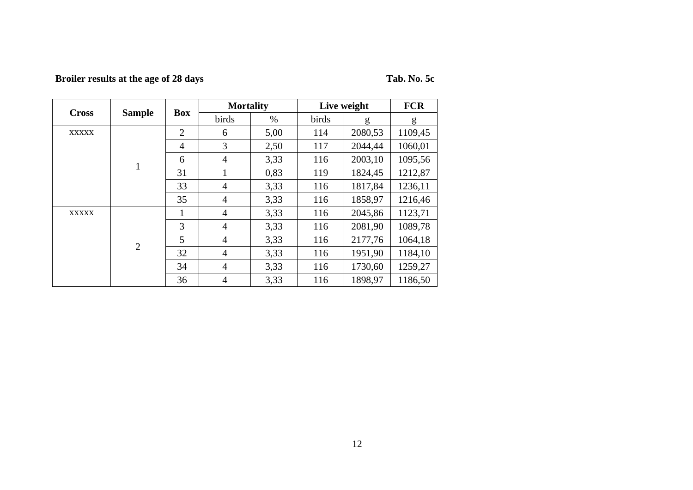# **Broiler results at the age of 28 days Tab. No. 5c**

| <b>Cross</b> |                |                | <b>Mortality</b> |      |       | Live weight | <b>FCR</b> |
|--------------|----------------|----------------|------------------|------|-------|-------------|------------|
|              | <b>Sample</b>  | <b>Box</b>     | birds            | $\%$ | birds | g           | g          |
| <b>XXXXX</b> |                | $\overline{2}$ | 6                | 5,00 | 114   | 2080,53     | 1109,45    |
|              |                | $\overline{4}$ | 3                | 2,50 | 117   | 2044,44     | 1060,01    |
|              | $\mathbf{1}$   | 6              | $\overline{4}$   | 3,33 | 116   | 2003,10     | 1095,56    |
|              |                | 31             |                  | 0.83 | 119   | 1824,45     | 1212,87    |
|              |                | 33             | 4                | 3,33 | 116   | 1817,84     | 1236,11    |
|              |                | 35             | $\overline{4}$   | 3,33 | 116   | 1858,97     | 1216,46    |
| <b>XXXXX</b> |                | 1              | $\overline{4}$   | 3,33 | 116   | 2045,86     | 1123,71    |
|              |                | 3              | $\overline{4}$   | 3,33 | 116   | 2081,90     | 1089,78    |
|              | $\overline{2}$ | 5              | $\overline{4}$   | 3,33 | 116   | 2177,76     | 1064,18    |
|              |                | 32             | 4                | 3,33 | 116   | 1951,90     | 1184,10    |
|              |                | 34             | $\overline{4}$   | 3,33 | 116   | 1730,60     | 1259,27    |
|              |                | 36             | 4                | 3,33 | 116   | 1898,97     | 1186,50    |